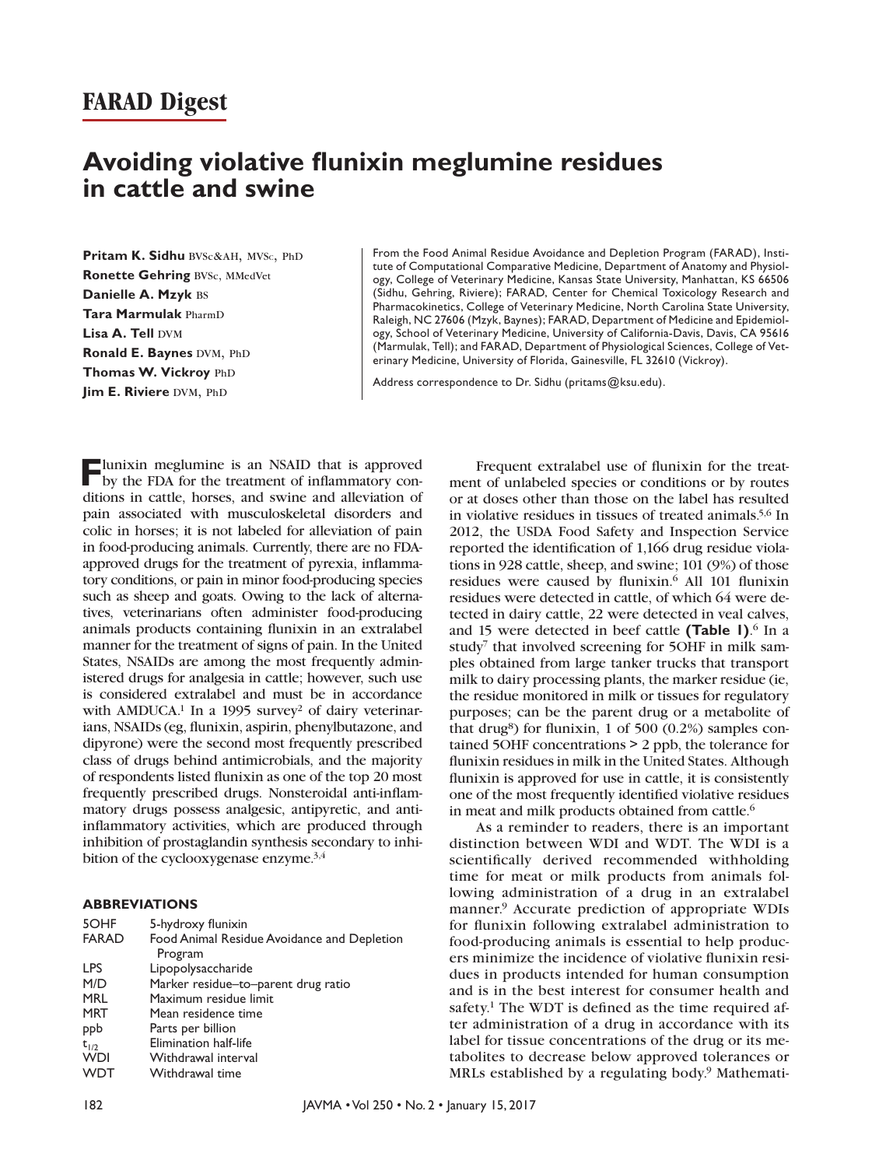# **FARAD Digest**

# **Avoiding violative flunixin meglumine residues in cattle and swine**

Pritam K. Sidhu BVSc&AH, MVSc, PhD **Ronette Gehring BVSc, MMedVet Danielle A. Mzyk** bs **Tara Marmulak** pharmd **Lisa A. Tell DVM Ronald E. Baynes DVM, PhD Thomas W. Vickroy** PhD **Jim E. Riviere DVM, PhD** 

From the Food Animal Residue Avoidance and Depletion Program (FARAD), Institute of Computational Comparative Medicine, Department of Anatomy and Physiology, College of Veterinary Medicine, Kansas State University, Manhattan, KS 66506 (Sidhu, Gehring, Riviere); FARAD, Center for Chemical Toxicology Research and Pharmacokinetics, College of Veterinary Medicine, North Carolina State University, Raleigh, NC 27606 (Mzyk, Baynes); FARAD, Department of Medicine and Epidemiology, School of Veterinary Medicine, University of California-Davis, Davis, CA 95616 (Marmulak, Tell); and FARAD, Department of Physiological Sciences, College of Veterinary Medicine, University of Florida, Gainesville, FL 32610 (Vickroy).

Address correspondence to Dr. Sidhu ([pritams@ksu.edu\)](mailto:pritams@ksu.edu).

**F**lunixin meglumine is an NSAID that is approved by the FDA for the treatment of inflammatory conditions in cattle, horses, and swine and alleviation of pain associated with musculoskeletal disorders and colic in horses; it is not labeled for alleviation of pain in food-producing animals. Currently, there are no FDAapproved drugs for the treatment of pyrexia, inflammatory conditions, or pain in minor food-producing species such as sheep and goats. Owing to the lack of alternatives, veterinarians often administer food-producing animals products containing flunixin in an extralabel manner for the treatment of signs of pain. In the United States, NSAIDs are among the most frequently administered drugs for analgesia in cattle; however, such use is considered extralabel and must be in accordance with AMDUCA.<sup>1</sup> In a 1995 survey<sup>2</sup> of dairy veterinarians, NSAIDs (eg, flunixin, aspirin, phenylbutazone, and dipyrone) were the second most frequently prescribed class of drugs behind antimicrobials, and the majority of respondents listed flunixin as one of the top 20 most frequently prescribed drugs. Nonsteroidal anti-inflammatory drugs possess analgesic, antipyretic, and antiinflammatory activities, which are produced through inhibition of prostaglandin synthesis secondary to inhibition of the cyclooxygenase enzyme.3,4

#### **ABBREVIATIONS**

| 5-hydroxy flunixin                          |
|---------------------------------------------|
| Food Animal Residue Avoidance and Depletion |
| Program                                     |
| Lipopolysaccharide                          |
| Marker residue-to-parent drug ratio         |
| Maximum residue limit                       |
| Mean residence time                         |
| Parts per billion                           |
| Elimination half-life                       |
| Withdrawal interval                         |
| Withdrawal time                             |
|                                             |

Frequent extralabel use of flunixin for the treatment of unlabeled species or conditions or by routes or at doses other than those on the label has resulted in violative residues in tissues of treated animals.5,6 In 2012, the USDA Food Safety and Inspection Service reported the identification of 1,166 drug residue violations in 928 cattle, sheep, and swine; 101 (9%) of those residues were caused by flunixin.<sup>6</sup> All 101 flunixin residues were detected in cattle, of which 64 were detected in dairy cattle, 22 were detected in veal calves, and 15 were detected in beef cattle **(Table 1)**. 6 In a study<sup>7</sup> that involved screening for 5OHF in milk samples obtained from large tanker trucks that transport milk to dairy processing plants, the marker residue (ie, the residue monitored in milk or tissues for regulatory purposes; can be the parent drug or a metabolite of that drug<sup>8</sup>) for flunixin, 1 of 500 (0.2%) samples contained 5OHF concentrations > 2 ppb, the tolerance for flunixin residues in milk in the United States. Although flunixin is approved for use in cattle, it is consistently one of the most frequently identified violative residues in meat and milk products obtained from cattle.<sup>6</sup>

As a reminder to readers, there is an important distinction between WDI and WDT. The WDI is a scientifically derived recommended withholding time for meat or milk products from animals following administration of a drug in an extralabel manner.9 Accurate prediction of appropriate WDIs for flunixin following extralabel administration to food-producing animals is essential to help producers minimize the incidence of violative flunixin residues in products intended for human consumption and is in the best interest for consumer health and safety.<sup>1</sup> The WDT is defined as the time required after administration of a drug in accordance with its label for tissue concentrations of the drug or its metabolites to decrease below approved tolerances or MRLs established by a regulating body.<sup>9</sup> Mathemati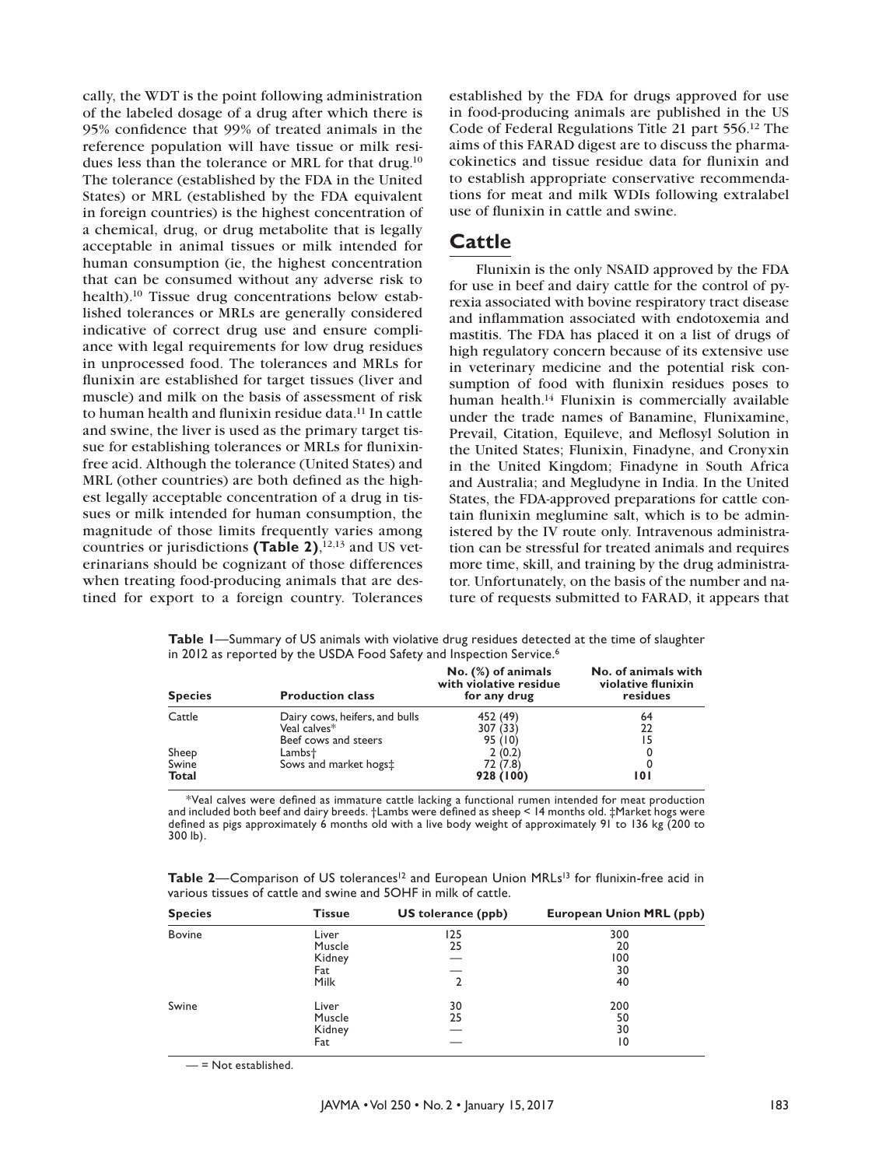cally, the WDT is the point following administration of the labeled dosage of a drug after which there is 95% confidence that 99% of treated animals in the reference population will have tissue or milk residues less than the tolerance or MRL for that drug.10 The tolerance (established by the FDA in the United States) or MRL (established by the FDA equivalent in foreign countries) is the highest concentration of a chemical, drug, or drug metabolite that is legally acceptable in animal tissues or milk intended for human consumption (ie, the highest concentration that can be consumed without any adverse risk to health).<sup>10</sup> Tissue drug concentrations below established tolerances or MRLs are generally considered indicative of correct drug use and ensure compliance with legal requirements for low drug residues in unprocessed food. The tolerances and MRLs for flunixin are established for target tissues (liver and muscle) and milk on the basis of assessment of risk to human health and flunixin residue data.11 In cattle and swine, the liver is used as the primary target tissue for establishing tolerances or MRLs for flunixinfree acid. Although the tolerance (United States) and MRL (other countries) are both defined as the highest legally acceptable concentration of a drug in tissues or milk intended for human consumption, the magnitude of those limits frequently varies among countries or jurisdictions **(Table 2)**, 12,13 and US veterinarians should be cognizant of those differences when treating food-producing animals that are destined for export to a foreign country. Tolerances

established by the FDA for drugs approved for use in food-producing animals are published in the US Code of Federal Regulations Title 21 part 556.12 The aims of this FARAD digest are to discuss the pharmacokinetics and tissue residue data for flunixin and to establish appropriate conservative recommendations for meat and milk WDIs following extralabel use of flunixin in cattle and swine.

### **Cattle**

Flunixin is the only NSAID approved by the FDA for use in beef and dairy cattle for the control of pyrexia associated with bovine respiratory tract disease and inflammation associated with endotoxemia and mastitis. The FDA has placed it on a list of drugs of high regulatory concern because of its extensive use in veterinary medicine and the potential risk consumption of food with flunixin residues poses to human health.14 Flunixin is commercially available under the trade names of Banamine, Flunixamine, Prevail, Citation, Equileve, and Meflosyl Solution in the United States; Flunixin, Finadyne, and Cronyxin in the United Kingdom; Finadyne in South Africa and Australia; and Megludyne in India. In the United States, the FDA-approved preparations for cattle contain flunixin meglumine salt, which is to be administered by the IV route only. Intravenous administration can be stressful for treated animals and requires more time, skill, and training by the drug administrator. Unfortunately, on the basis of the number and nature of requests submitted to FARAD, it appears that

**Table 1**—Summary of US animals with violative drug residues detected at the time of slaughter in 2012 as reported by the USDA Food Safety and Inspection Service.<sup>6</sup>

| <b>Species</b>        | <b>Production class</b>                        | No. (%) of animals<br>with violative residue<br>for any drug | No. of animals with<br>violative flunixin<br>residues |
|-----------------------|------------------------------------------------|--------------------------------------------------------------|-------------------------------------------------------|
| Cattle                | Dairy cows, heifers, and bulls<br>Veal calves* | 452 (49)<br>307 (33)                                         | 64<br>22                                              |
|                       | Beef cows and steers                           | 95 (10)                                                      | 15                                                    |
| Sheep                 | Lambs†                                         | 2(0.2)                                                       |                                                       |
| Swine<br><b>Total</b> | Sows and market hogs:                          | 72 (7.8)<br>928 (100)                                        | 101                                                   |

\*Veal calves were defined as immature cattle lacking a functional rumen intended for meat production and included both beef and dairy breeds. †Lambs were defined as sheep < 14 months old. ‡Market hogs were defined as pigs approximately 6 months old with a live body weight of approximately 91 to 136 kg (200 to 300 lb).

| Table 2-Comparison of US tolerances <sup>12</sup> and European Union MRLs <sup>13</sup> for flunixin-free acid in |  |
|-------------------------------------------------------------------------------------------------------------------|--|
| various tissues of cattle and swine and 5OHF in milk of cattle.                                                   |  |

| <b>Species</b> | <b>Tissue</b> | US tolerance (ppb) | European Union MRL (ppb) |
|----------------|---------------|--------------------|--------------------------|
| <b>Bovine</b>  | Liver         | 125                | 300                      |
|                | Muscle        | 25                 | 20                       |
|                | Kidney        |                    | 100                      |
|                | Fat           |                    | 30                       |
|                | Milk          | 2                  | 40                       |
| Swine          | Liver         | 30                 | 200                      |
|                | Muscle        | 25                 | 50                       |
|                | Kidney        |                    | 30                       |
|                | Fat           |                    | 10                       |

— = Not established.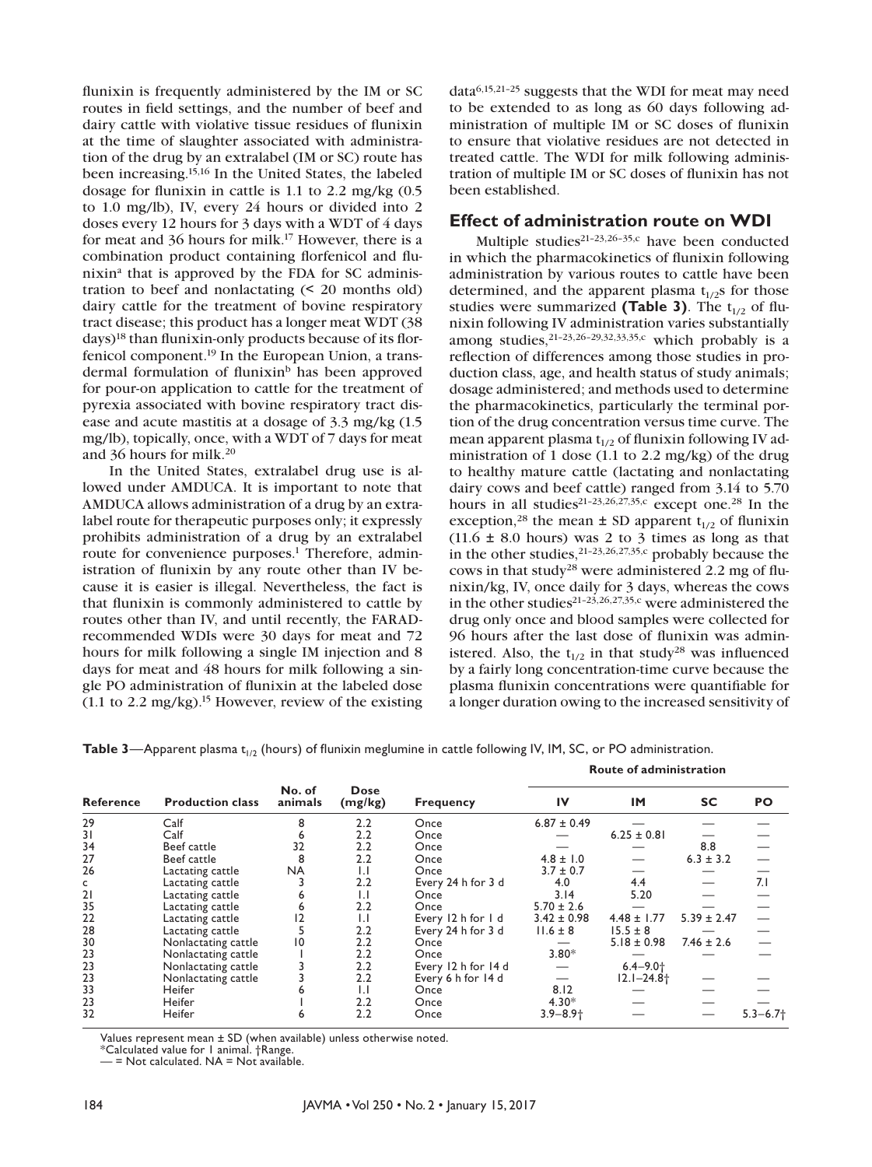flunixin is frequently administered by the IM or SC routes in field settings, and the number of beef and dairy cattle with violative tissue residues of flunixin at the time of slaughter associated with administration of the drug by an extralabel (IM or SC) route has been increasing.15,16 In the United States, the labeled dosage for flunixin in cattle is 1.1 to 2.2 mg/kg (0.5 to 1.0 mg/lb), IV, every 24 hours or divided into 2 doses every 12 hours for 3 days with a WDT of 4 days for meat and 36 hours for milk.17 However, there is a combination product containing florfenicol and flunixina that is approved by the FDA for SC administration to beef and nonlactating (< 20 months old) dairy cattle for the treatment of bovine respiratory tract disease; this product has a longer meat WDT (38 days)18 than flunixin-only products because of its florfenicol component.19 In the European Union, a transdermal formulation of flunixin<sup>b</sup> has been approved for pour-on application to cattle for the treatment of pyrexia associated with bovine respiratory tract disease and acute mastitis at a dosage of 3.3 mg/kg (1.5 mg/lb), topically, once, with a WDT of 7 days for meat and 36 hours for milk.20

In the United States, extralabel drug use is allowed under AMDUCA. It is important to note that AMDUCA allows administration of a drug by an extralabel route for therapeutic purposes only; it expressly prohibits administration of a drug by an extralabel route for convenience purposes.<sup>1</sup> Therefore, administration of flunixin by any route other than IV because it is easier is illegal. Nevertheless, the fact is that flunixin is commonly administered to cattle by routes other than IV, and until recently, the FARADrecommended WDIs were 30 days for meat and 72 hours for milk following a single IM injection and 8 days for meat and 48 hours for milk following a single PO administration of flunixin at the labeled dose  $(1.1 \text{ to } 2.2 \text{ mg/kg})$ .<sup>15</sup> However, review of the existing

data6,15,21–25 suggests that the WDI for meat may need to be extended to as long as 60 days following administration of multiple IM or SC doses of flunixin to ensure that violative residues are not detected in treated cattle. The WDI for milk following administration of multiple IM or SC doses of flunixin has not been established.

#### **Effect of administration route on WDI**

Multiple studies<sup>21-23,26-35,c</sup> have been conducted in which the pharmacokinetics of flunixin following administration by various routes to cattle have been determined, and the apparent plasma  $t_{1/2}$ s for those studies were summarized (Table 3). The  $t_{1/2}$  of flunixin following IV administration varies substantially among studies,21–23,26–29,32,33,35,c which probably is a reflection of differences among those studies in production class, age, and health status of study animals; dosage administered; and methods used to determine the pharmacokinetics, particularly the terminal portion of the drug concentration versus time curve. The mean apparent plasma  $t_{1/2}$  of flunixin following IV administration of 1 dose (1.1 to 2.2 mg/kg) of the drug to healthy mature cattle (lactating and nonlactating dairy cows and beef cattle) ranged from 3.14 to 5.70 hours in all studies<sup>21-23,26,27,35,c</sup> except one.<sup>28</sup> In the exception,<sup>28</sup> the mean  $\pm$  SD apparent t<sub>1/2</sub> of flunixin  $(11.6 \pm 8.0 \text{ hours})$  was 2 to 3 times as long as that in the other studies,  $21-23,26,27,35,c$  probably because the cows in that study<sup>28</sup> were administered 2.2 mg of flunixin/kg, IV, once daily for 3 days, whereas the cows in the other studies<sup>21-23,26,27,35,c</sup> were administered the drug only once and blood samples were collected for 96 hours after the last dose of flunixin was administered. Also, the  $t_{1/2}$  in that study<sup>28</sup> was influenced by a fairly long concentration-time curve because the plasma flunixin concentrations were quantifiable for a longer duration owing to the increased sensitivity of

 **Route of administration**

**Table 3**—Apparent plasma t<sub>1/2</sub> (hours) of flunixin meglumine in cattle following IV, IM, SC, or PO administration.

| <b>Reference</b> | <b>Production class</b> | No. of<br>animals | <b>Dose</b><br>(mg/kg) | <b>Frequency</b>    | IV              | <b>IM</b>                | <b>SC</b>       | PO            |
|------------------|-------------------------|-------------------|------------------------|---------------------|-----------------|--------------------------|-----------------|---------------|
| 29               | Calf                    |                   | 2.2                    | Once                | $6.87 \pm 0.49$ |                          |                 |               |
| 31               | Calf                    |                   | 2.2                    | Once                |                 | $6.25 \pm 0.81$          |                 |               |
| 34               | Beef cattle             | 32                | 2.2                    | Once                |                 |                          | 8.8             |               |
| 27               | Beef cattle             | 8                 | 2.2                    | Once                | $4.8 \pm 1.0$   |                          | $6.3 \pm 3.2$   |               |
| 26               | Lactating cattle        | <b>NA</b>         | $\mathsf{L}$           | Once                | $3.7 \pm 0.7$   |                          |                 |               |
| c                | Lactating cattle        |                   | 2.2                    | Every 24 h for 3 d  | 4.0             | 4.4                      |                 | 7.1           |
| 21               | Lactating cattle        |                   | $\mathsf{L}$           | Once                | 3.14            | 5.20                     |                 |               |
| 35               | Lactating cattle        |                   | 2.2                    | Once                | $5.70 \pm 2.6$  |                          |                 |               |
| 22               | Lactating cattle        |                   | $\mathsf{L}$           | Every 12 h for 1 d  | $3.42 \pm 0.98$ | $4.48 \pm 1.77$          | $5.39 \pm 2.47$ |               |
| 28               | Lactating cattle        |                   | 2.2                    | Every 24 h for 3 d  | $11.6 \pm 8$    | $15.5 \pm 8$             |                 |               |
| 30               | Nonlactating cattle     | 10                | 2.2                    | Once                |                 | $5.18 \pm 0.98$          | $7.46 \pm 2.6$  |               |
| 23               | Nonlactating cattle     |                   | 2.2                    | Once                | $3.80*$         |                          |                 |               |
| 23               | Nonlactating cattle     |                   | 2.2                    | Every 12 h for 14 d |                 | $6.4 - 9.0$ <sup>+</sup> |                 |               |
| 23               | Nonlactating cattle     |                   | 2.2                    | Every 6 h for 14 d  |                 | $12.1 - 24.8 +$          |                 |               |
| 33               | Heifer                  |                   | $\mathsf{L}$           | Once                | 8.12            |                          |                 |               |
| 23               | Heifer                  |                   | 2.2                    | Once                | $4.30*$         |                          |                 |               |
| 32               | Heifer                  | ь                 | 2.2                    | Once                | $3.9 - 8.9 +$   |                          |                 | $5.3 - 6.7 +$ |

Values represent mean ± SD (when available) unless otherwise noted.

\*Calculated value for 1 animal. †Range.

— = Not calculated. NA = Not available.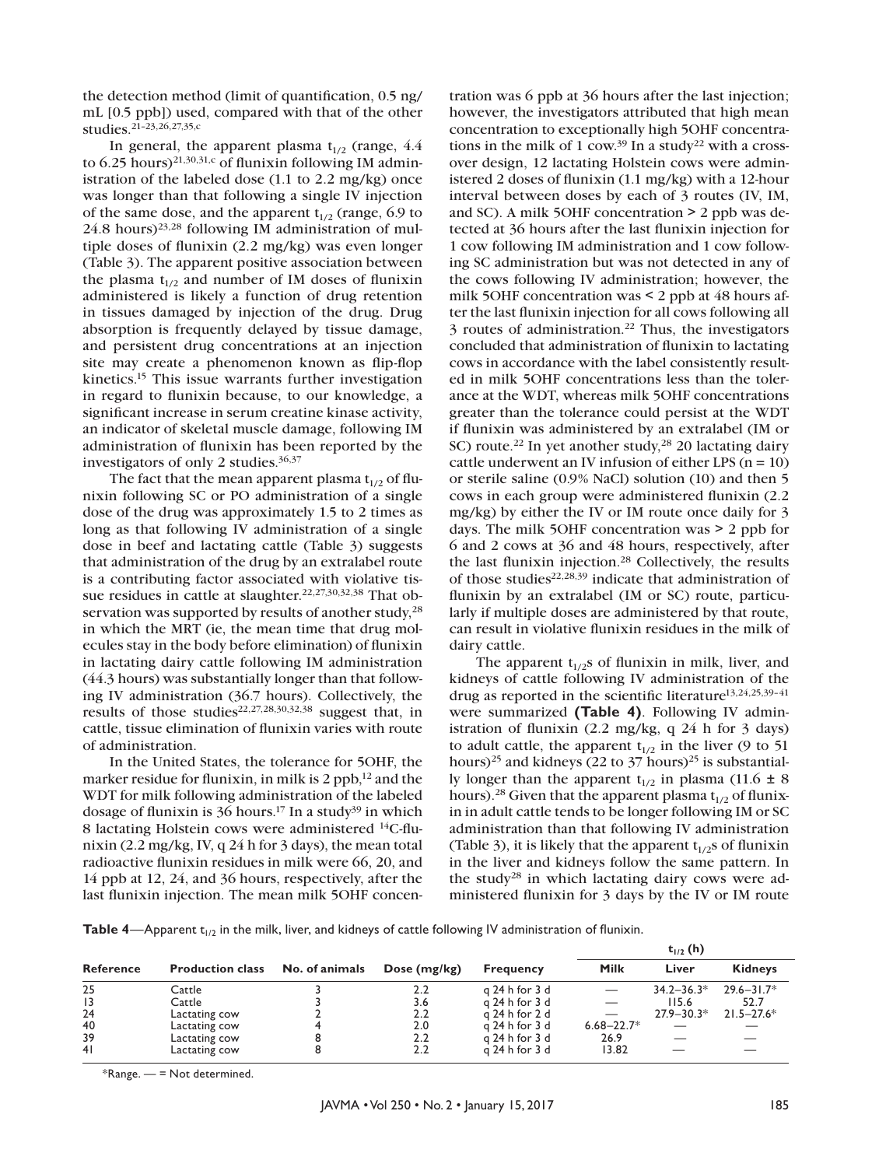the detection method (limit of quantification, 0.5 ng/ mL [0.5 ppb]) used, compared with that of the other studies.21–23,26,27,35,c

In general, the apparent plasma  $t_{1/2}$  (range, 4.4) to 6.25 hours)<sup>21,30,31,c</sup> of flunixin following IM administration of the labeled dose (1.1 to 2.2 mg/kg) once was longer than that following a single IV injection of the same dose, and the apparent  $t_{1/2}$  (range, 6.9 to  $24.8$  hours)<sup>23,28</sup> following IM administration of multiple doses of flunixin (2.2 mg/kg) was even longer (Table 3). The apparent positive association between the plasma  $t_{1/2}$  and number of IM doses of flunixin administered is likely a function of drug retention in tissues damaged by injection of the drug. Drug absorption is frequently delayed by tissue damage, and persistent drug concentrations at an injection site may create a phenomenon known as flip-flop kinetics.15 This issue warrants further investigation in regard to flunixin because, to our knowledge, a significant increase in serum creatine kinase activity, an indicator of skeletal muscle damage, following IM administration of flunixin has been reported by the investigators of only 2 studies.36,37

The fact that the mean apparent plasma  $t_{1/2}$  of flunixin following SC or PO administration of a single dose of the drug was approximately 1.5 to 2 times as long as that following IV administration of a single dose in beef and lactating cattle (Table 3) suggests that administration of the drug by an extralabel route is a contributing factor associated with violative tissue residues in cattle at slaughter.<sup>22,27,30,32,38</sup> That observation was supported by results of another study,<sup>28</sup> in which the MRT (ie, the mean time that drug molecules stay in the body before elimination) of flunixin in lactating dairy cattle following IM administration (44.3 hours) was substantially longer than that following IV administration (36.7 hours). Collectively, the results of those studies<sup>22,27,28,30,32,38</sup> suggest that, in cattle, tissue elimination of flunixin varies with route of administration.

In the United States, the tolerance for 5OHF, the marker residue for flunixin, in milk is 2 ppb, $12$  and the WDT for milk following administration of the labeled dosage of flunixin is  $36$  hours.<sup>17</sup> In a study<sup>39</sup> in which 8 lactating Holstein cows were administered <sup>14</sup>C-flunixin (2.2 mg/kg, IV, q 24 h for 3 days), the mean total radioactive flunixin residues in milk were 66, 20, and 14 ppb at 12, 24, and 36 hours, respectively, after the last flunixin injection. The mean milk 5OHF concen-

tration was 6 ppb at 36 hours after the last injection; however, the investigators attributed that high mean concentration to exceptionally high 5OHF concentrations in the milk of 1 cow.<sup>39</sup> In a study<sup>22</sup> with a crossover design, 12 lactating Holstein cows were administered 2 doses of flunixin (1.1 mg/kg) with a 12-hour interval between doses by each of 3 routes (IV, IM, and SC). A milk 5OHF concentration > 2 ppb was detected at 36 hours after the last flunixin injection for 1 cow following IM administration and 1 cow following SC administration but was not detected in any of the cows following IV administration; however, the milk 5OHF concentration was < 2 ppb at 48 hours after the last flunixin injection for all cows following all 3 routes of administration.22 Thus, the investigators concluded that administration of flunixin to lactating cows in accordance with the label consistently resulted in milk 5OHF concentrations less than the tolerance at the WDT, whereas milk 5OHF concentrations greater than the tolerance could persist at the WDT if flunixin was administered by an extralabel (IM or SC) route.<sup>22</sup> In yet another study,<sup>28</sup> 20 lactating dairy cattle underwent an IV infusion of either LPS  $(n = 10)$ or sterile saline (0.9% NaCl) solution (10) and then 5 cows in each group were administered flunixin (2.2 mg/kg) by either the IV or IM route once daily for 3 days. The milk 5OHF concentration was > 2 ppb for 6 and 2 cows at 36 and 48 hours, respectively, after the last flunixin injection.28 Collectively, the results of those studies<sup>22,28,39</sup> indicate that administration of flunixin by an extralabel (IM or SC) route, particularly if multiple doses are administered by that route, can result in violative flunixin residues in the milk of dairy cattle.

The apparent  $t_{1/2}$ s of flunixin in milk, liver, and kidneys of cattle following IV administration of the drug as reported in the scientific literature13,24,25,39–41 were summarized **(Table 4)**. Following IV administration of flunixin (2.2 mg/kg, q 24 h for 3 days) to adult cattle, the apparent  $t_{1/2}$  in the liver (9 to 51 hours)<sup>25</sup> and kidneys (22 to 37 hours)<sup>25</sup> is substantially longer than the apparent  $t_{1/2}$  in plasma (11.6  $\pm$  8 hours).<sup>28</sup> Given that the apparent plasma  $t_{1/2}$  of flunixin in adult cattle tends to be longer following IM or SC administration than that following IV administration (Table 3), it is likely that the apparent  $t_{1/2}$ s of flunixin in the liver and kidneys follow the same pattern. In the study<sup>28</sup> in which lactating dairy cows were administered flunixin for 3 days by the IV or IM route

**Table 4**—Apparent  $t_{1/2}$  in the milk, liver, and kidneys of cattle following IV administration of flunixin.

|                  |                         |                |                |                  | $t_{1/2}$ (h)  |                |                |  |
|------------------|-------------------------|----------------|----------------|------------------|----------------|----------------|----------------|--|
| <b>Reference</b> | <b>Production class</b> | No. of animals | Dose $(mg/kg)$ | <b>Frequency</b> | <b>Milk</b>    | Liver          | <b>Kidneys</b> |  |
| 25               | Cattle                  |                | $2.2\,$        | g 24 h for 3 d   |                | $34.2 - 36.3*$ | $29.6 - 31.7*$ |  |
| 13               | Cattle                  |                | 3.6            | g 24 h for 3 d   |                | 115.6          | 52.7           |  |
| 24               | Lactating cow           |                | 2.2            | g 24 h for 2 d   |                | $27.9 - 30.3*$ | $21.5 - 27.6*$ |  |
| 40               | Lactating cow           |                | 2.0            | g 24 h for 3 d   | $6.68 - 22.7*$ |                |                |  |
| 39               | Lactating cow           |                | $2.2\,$        | g 24 h for 3 d   | 26.9           |                |                |  |
| 41               | Lactating cow           |                | 2.2            | g 24 h for 3 d   | 13.82          |                |                |  |

 $*$ Range.  $-$  = Not determined.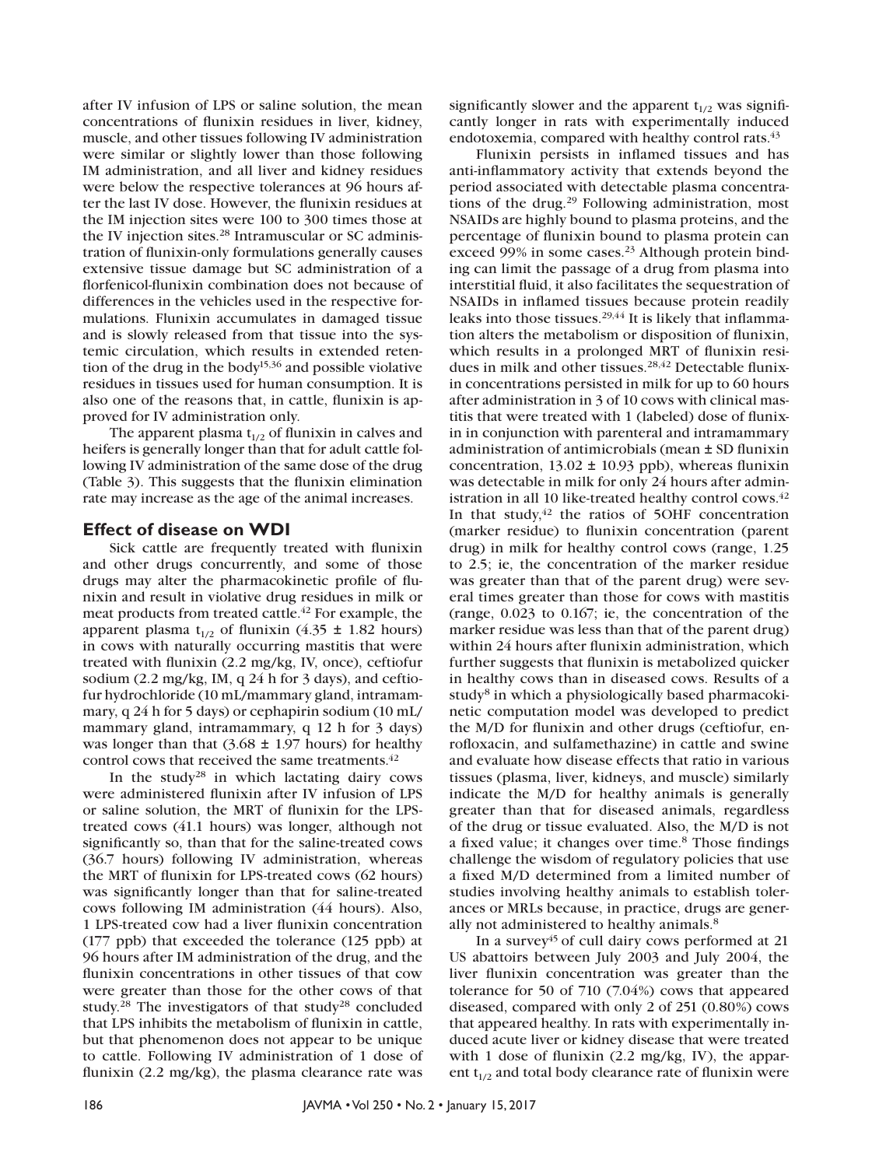after IV infusion of LPS or saline solution, the mean concentrations of flunixin residues in liver, kidney, muscle, and other tissues following IV administration were similar or slightly lower than those following IM administration, and all liver and kidney residues were below the respective tolerances at 96 hours after the last IV dose. However, the flunixin residues at the IM injection sites were 100 to 300 times those at the IV injection sites.<sup>28</sup> Intramuscular or SC administration of flunixin-only formulations generally causes extensive tissue damage but SC administration of a florfenicol-flunixin combination does not because of differences in the vehicles used in the respective formulations. Flunixin accumulates in damaged tissue and is slowly released from that tissue into the systemic circulation, which results in extended retention of the drug in the body<sup>15,36</sup> and possible violative residues in tissues used for human consumption. It is also one of the reasons that, in cattle, flunixin is approved for IV administration only.

The apparent plasma  $t_{1/2}$  of flunixin in calves and heifers is generally longer than that for adult cattle following IV administration of the same dose of the drug (Table 3). This suggests that the flunixin elimination rate may increase as the age of the animal increases.

### **Effect of disease on WDI**

Sick cattle are frequently treated with flunixin and other drugs concurrently, and some of those drugs may alter the pharmacokinetic profile of flunixin and result in violative drug residues in milk or meat products from treated cattle.<sup>42</sup> For example, the apparent plasma  $t_{1/2}$  of flunixin (4.35  $\pm$  1.82 hours) in cows with naturally occurring mastitis that were treated with flunixin (2.2 mg/kg, IV, once), ceftiofur sodium (2.2 mg/kg, IM, q 24 h for 3 days), and ceftiofur hydrochloride (10 mL/mammary gland, intramammary, q 24 h for 5 days) or cephapirin sodium (10 mL/ mammary gland, intramammary, q 12 h for 3 days) was longer than that  $(3.68 \pm 1.97 \text{ hours})$  for healthy control cows that received the same treatments.<sup>42</sup>

In the study<sup>28</sup> in which lactating dairy cows were administered flunixin after IV infusion of LPS or saline solution, the MRT of flunixin for the LPStreated cows (41.1 hours) was longer, although not significantly so, than that for the saline-treated cows (36.7 hours) following IV administration, whereas the MRT of flunixin for LPS-treated cows (62 hours) was significantly longer than that for saline-treated cows following IM administration (44 hours). Also, 1 LPS-treated cow had a liver flunixin concentration (177 ppb) that exceeded the tolerance (125 ppb) at 96 hours after IM administration of the drug, and the flunixin concentrations in other tissues of that cow were greater than those for the other cows of that study.28 The investigators of that study28 concluded that LPS inhibits the metabolism of flunixin in cattle, but that phenomenon does not appear to be unique to cattle. Following IV administration of 1 dose of flunixin (2.2 mg/kg), the plasma clearance rate was

significantly slower and the apparent  $t_{1/2}$  was significantly longer in rats with experimentally induced endotoxemia, compared with healthy control rats.<sup>43</sup>

Flunixin persists in inflamed tissues and has anti-inflammatory activity that extends beyond the period associated with detectable plasma concentrations of the drug.29 Following administration, most NSAIDs are highly bound to plasma proteins, and the percentage of flunixin bound to plasma protein can exceed 99% in some cases.<sup>23</sup> Although protein binding can limit the passage of a drug from plasma into interstitial fluid, it also facilitates the sequestration of NSAIDs in inflamed tissues because protein readily leaks into those tissues.<sup>29,44</sup> It is likely that inflammation alters the metabolism or disposition of flunixin, which results in a prolonged MRT of flunixin residues in milk and other tissues.<sup>28,42</sup> Detectable flunixin concentrations persisted in milk for up to 60 hours after administration in 3 of 10 cows with clinical mastitis that were treated with 1 (labeled) dose of flunixin in conjunction with parenteral and intramammary administration of antimicrobials (mean ± SD flunixin concentration,  $13.02 \pm 10.93$  ppb), whereas flunixin was detectable in milk for only 24 hours after administration in all 10 like-treated healthy control cows.<sup>42</sup> In that study, $42$  the ratios of 5OHF concentration (marker residue) to flunixin concentration (parent drug) in milk for healthy control cows (range, 1.25 to 2.5; ie, the concentration of the marker residue was greater than that of the parent drug) were several times greater than those for cows with mastitis (range, 0.023 to 0.167; ie, the concentration of the marker residue was less than that of the parent drug) within 24 hours after flunixin administration, which further suggests that flunixin is metabolized quicker in healthy cows than in diseased cows. Results of a study<sup>8</sup> in which a physiologically based pharmacokinetic computation model was developed to predict the M/D for flunixin and other drugs (ceftiofur, enrofloxacin, and sulfamethazine) in cattle and swine and evaluate how disease effects that ratio in various tissues (plasma, liver, kidneys, and muscle) similarly indicate the M/D for healthy animals is generally greater than that for diseased animals, regardless of the drug or tissue evaluated. Also, the M/D is not a fixed value; it changes over time.<sup>8</sup> Those findings challenge the wisdom of regulatory policies that use a fixed M/D determined from a limited number of studies involving healthy animals to establish tolerances or MRLs because, in practice, drugs are generally not administered to healthy animals.<sup>8</sup>

In a survey<sup>45</sup> of cull dairy cows performed at 21 US abattoirs between July 2003 and July 2004, the liver flunixin concentration was greater than the tolerance for 50 of 710 (7.04%) cows that appeared diseased, compared with only 2 of 251 (0.80%) cows that appeared healthy. In rats with experimentally induced acute liver or kidney disease that were treated with 1 dose of flunixin (2.2 mg/kg, IV), the apparent  $t_{1/2}$  and total body clearance rate of flunixin were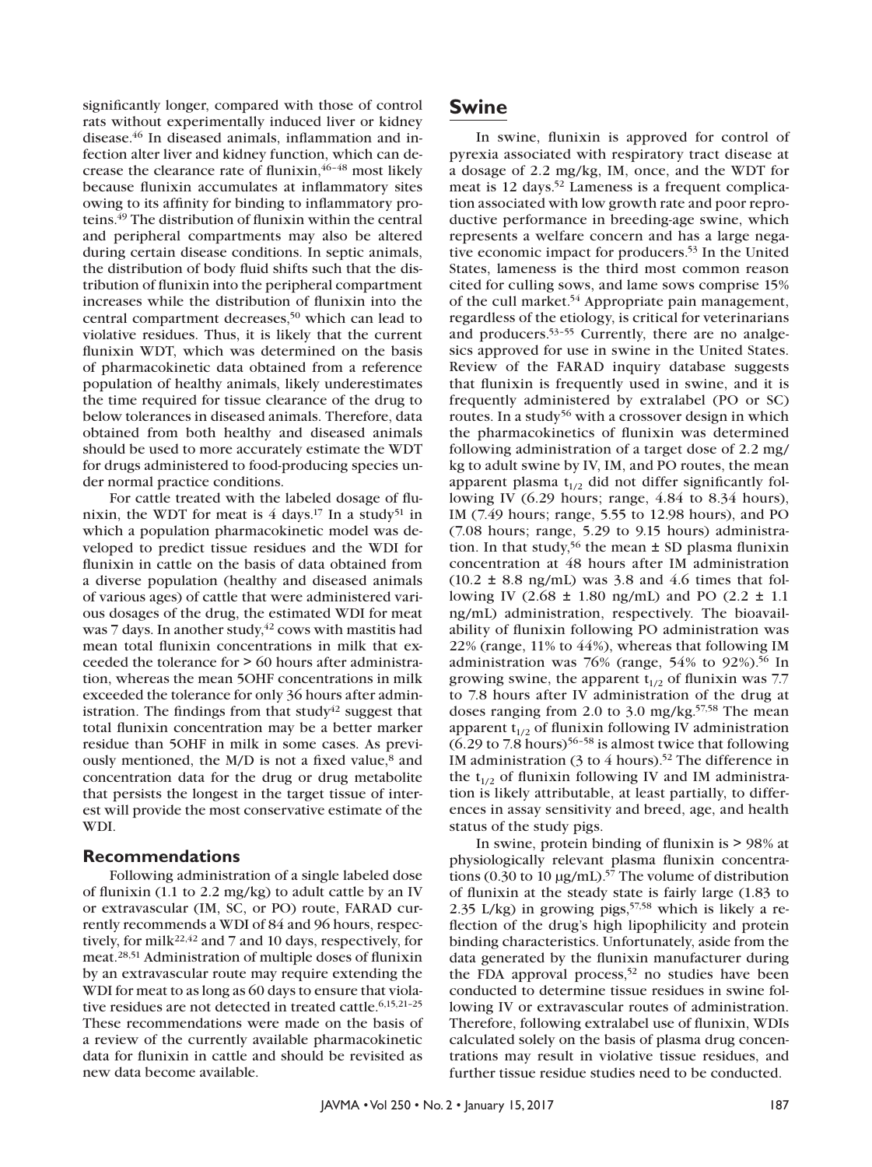significantly longer, compared with those of control rats without experimentally induced liver or kidney disease.46 In diseased animals, inflammation and infection alter liver and kidney function, which can decrease the clearance rate of flunixin, <sup>46-48</sup> most likely because flunixin accumulates at inflammatory sites owing to its affinity for binding to inflammatory proteins.49 The distribution of flunixin within the central and peripheral compartments may also be altered during certain disease conditions. In septic animals, the distribution of body fluid shifts such that the distribution of flunixin into the peripheral compartment increases while the distribution of flunixin into the central compartment decreases,<sup>50</sup> which can lead to violative residues. Thus, it is likely that the current flunixin WDT, which was determined on the basis of pharmacokinetic data obtained from a reference population of healthy animals, likely underestimates the time required for tissue clearance of the drug to below tolerances in diseased animals. Therefore, data obtained from both healthy and diseased animals should be used to more accurately estimate the WDT for drugs administered to food-producing species under normal practice conditions.

For cattle treated with the labeled dosage of flunixin, the WDT for meat is  $4 \text{ days}$ .<sup>17</sup> In a study<sup>51</sup> in which a population pharmacokinetic model was developed to predict tissue residues and the WDI for flunixin in cattle on the basis of data obtained from a diverse population (healthy and diseased animals of various ages) of cattle that were administered various dosages of the drug, the estimated WDI for meat was 7 days. In another study, $42 \text{ cows}$  with mastitis had mean total flunixin concentrations in milk that exceeded the tolerance for > 60 hours after administration, whereas the mean 5OHF concentrations in milk exceeded the tolerance for only 36 hours after administration. The findings from that study<sup>42</sup> suggest that total flunixin concentration may be a better marker residue than 5OHF in milk in some cases. As previously mentioned, the M/D is not a fixed value,<sup>8</sup> and concentration data for the drug or drug metabolite that persists the longest in the target tissue of interest will provide the most conservative estimate of the WDI.

#### **Recommendations**

Following administration of a single labeled dose of flunixin (1.1 to 2.2 mg/kg) to adult cattle by an IV or extravascular (IM, SC, or PO) route, FARAD currently recommends a WDI of 84 and 96 hours, respectively, for milk<sup>22,42</sup> and 7 and 10 days, respectively, for meat.28,51 Administration of multiple doses of flunixin by an extravascular route may require extending the WDI for meat to as long as 60 days to ensure that violative residues are not detected in treated cattle.<sup>6,15,21-25</sup> These recommendations were made on the basis of a review of the currently available pharmacokinetic data for flunixin in cattle and should be revisited as new data become available.

### **Swine**

In swine, flunixin is approved for control of pyrexia associated with respiratory tract disease at a dosage of 2.2 mg/kg, IM, once, and the WDT for meat is 12 days.<sup>52</sup> Lameness is a frequent complication associated with low growth rate and poor reproductive performance in breeding-age swine, which represents a welfare concern and has a large negative economic impact for producers.53 In the United States, lameness is the third most common reason cited for culling sows, and lame sows comprise 15% of the cull market.54 Appropriate pain management, regardless of the etiology, is critical for veterinarians and producers.53–55 Currently, there are no analgesics approved for use in swine in the United States. Review of the FARAD inquiry database suggests that flunixin is frequently used in swine, and it is frequently administered by extralabel (PO or SC) routes. In a study<sup>56</sup> with a crossover design in which the pharmacokinetics of flunixin was determined following administration of a target dose of 2.2 mg/ kg to adult swine by IV, IM, and PO routes, the mean apparent plasma  $t_{1/2}$  did not differ significantly following IV (6.29 hours; range, 4.84 to 8.34 hours), IM (7.49 hours; range, 5.55 to 12.98 hours), and PO (7.08 hours; range, 5.29 to 9.15 hours) administration. In that study,<sup>56</sup> the mean  $\pm$  SD plasma flunixin concentration at 48 hours after IM administration  $(10.2 \pm 8.8 \text{ ng/mL})$  was 3.8 and 4.6 times that following IV (2.68 ± 1.80 ng/mL) and PO (2.2 ± 1.1 ng/mL) administration, respectively. The bioavailability of flunixin following PO administration was 22% (range, 11% to 44%), whereas that following IM administration was 76% (range,  $54%$  to  $92\%$ ).<sup>56</sup> In growing swine, the apparent  $t_{1/2}$  of flunixin was 7.7 to 7.8 hours after IV administration of the drug at doses ranging from 2.0 to 3.0 mg/kg.<sup>57,58</sup> The mean apparent  $t_{1/2}$  of flunixin following IV administration  $(6.29 \text{ to } 7.8 \text{ hours})^{56-58}$  is almost twice that following IM administration (3 to 4 hours).<sup>52</sup> The difference in the  $t_{1/2}$  of flunixin following IV and IM administration is likely attributable, at least partially, to differences in assay sensitivity and breed, age, and health status of the study pigs.

In swine, protein binding of flunixin is > 98% at physiologically relevant plasma flunixin concentrations (0.30 to 10  $\mu$ g/mL).<sup>57</sup> The volume of distribution of flunixin at the steady state is fairly large (1.83 to 2.35 L/kg) in growing pigs,  $57,58$  which is likely a reflection of the drug's high lipophilicity and protein binding characteristics. Unfortunately, aside from the data generated by the flunixin manufacturer during the FDA approval process,<sup>52</sup> no studies have been conducted to determine tissue residues in swine following IV or extravascular routes of administration. Therefore, following extralabel use of flunixin, WDIs calculated solely on the basis of plasma drug concentrations may result in violative tissue residues, and further tissue residue studies need to be conducted.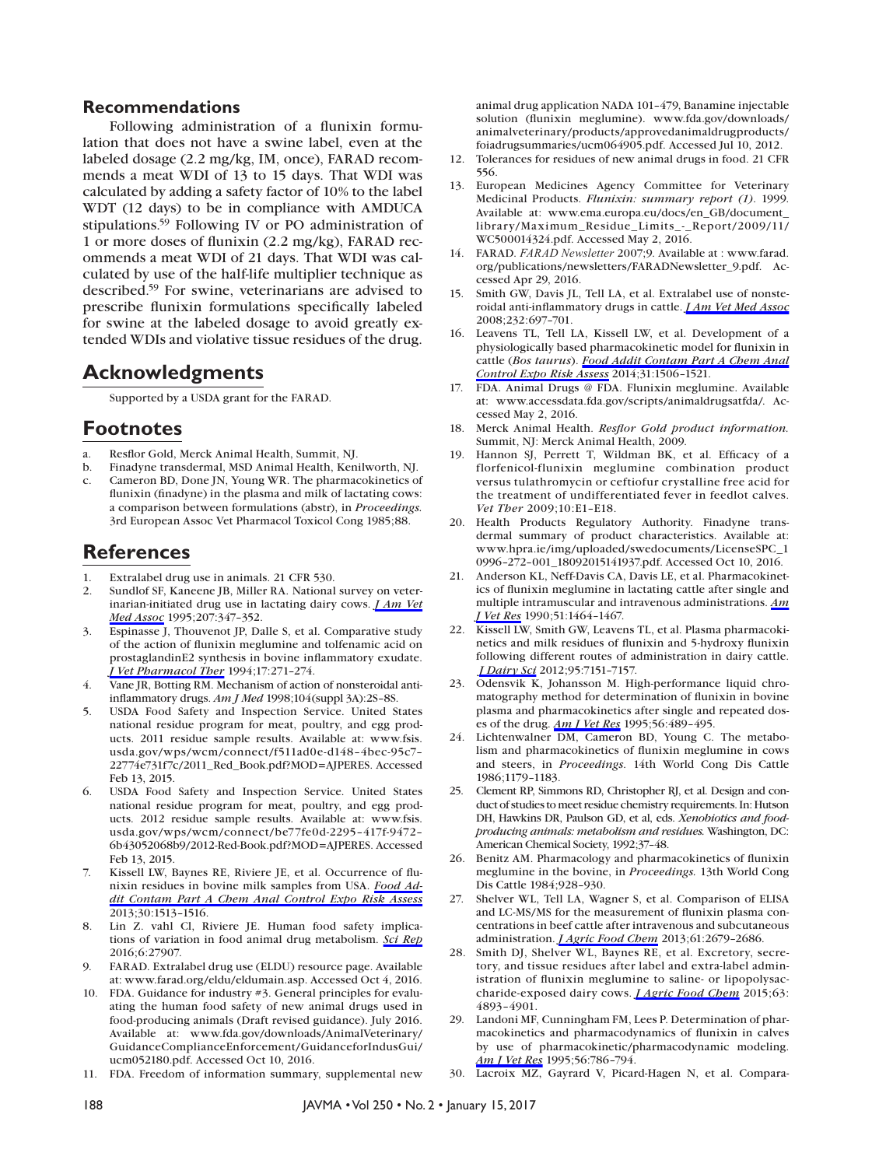#### **Recommendations**

Following administration of a flunixin formulation that does not have a swine label, even at the labeled dosage (2.2 mg/kg, IM, once), FARAD recommends a meat WDI of 13 to 15 days. That WDI was calculated by adding a safety factor of 10% to the label WDT (12 days) to be in compliance with AMDUCA stipulations.59 Following IV or PO administration of 1 or more doses of flunixin (2.2 mg/kg), FARAD recommends a meat WDI of 21 days. That WDI was calculated by use of the half-life multiplier technique as described.59 For swine, veterinarians are advised to prescribe flunixin formulations specifically labeled for swine at the labeled dosage to avoid greatly extended WDIs and violative tissue residues of the drug.

### **Acknowledgments**

Supported by a USDA grant for the FARAD.

### **Footnotes**

- a. Resflor Gold, Merck Animal Health, Summit, NJ.
- b. Finadyne transdermal, MSD Animal Health, Kenilworth, NJ. c. Cameron BD, Done JN, Young WR. The pharmacokinetics of flunixin (finadyne) in the plasma and milk of lactating cows: a comparison between formulations (abstr), in *Proceedings.*  3rd European Assoc Vet Pharmacol Toxicol Cong 1985;88.

## **References**

- 1. Extralabel drug use in animals. 21 CFR 530.
- 2. Sundlof SF, Kaneene JB, Miller RA. National survey on veterinarian-initiated drug use in lactating dairy cows. *[J Am Vet](http://avmajournals.avma.org/action/showLinks?pmid=7628941)  [Med Assoc](http://avmajournals.avma.org/action/showLinks?pmid=7628941)* 1995;207:347–352.
- 3. Espinasse J, Thouvenot JP, Dalle S, et al. Comparative study of the action of flunixin meglumine and tolfenamic acid on prostaglandinE2 synthesis in bovine inflammatory exudate. *[J Vet Pharmacol Ther](http://avmajournals.avma.org/action/showLinks?pmid=7966545&crossref=10.1111%2Fj.1365-2885.1994.tb00244.x)* 1994;17:271–274.
- 4. Vane JR, Botting RM. Mechanism of action of nonsteroidal antiinflammatory drugs. *Am J Med* 1998;104(suppl 3A):2S–8S.
- 5. USDA Food Safety and Inspection Service. United States national residue program for meat, poultry, and egg products. 2011 residue sample results. Available at: www.fsis. usda.gov/wps/wcm/connect/f511ad0e-d148–4bec-95c7– 22774e731f7c/2011\_Red\_Book.pdf?MOD=AJPERES. Accessed Feb 13, 2015.
- 6. USDA Food Safety and Inspection Service. United States national residue program for meat, poultry, and egg products. 2012 residue sample results. Available at: www.fsis. usda.gov/wps/wcm/connect/be77fe0d-2295–417f-9472– 6b43052068b9/2012-Red-Book.pdf?MOD=AJPERES. Accessed Feb 13, 2015.
- 7. Kissell LW, Baynes RE, Riviere JE, et al. Occurrence of flunixin residues in bovine milk samples from USA. *[Food Ad](http://avmajournals.avma.org/action/showLinks?pmid=23789859&crossref=10.1080%2F19440049.2013.803604)[dit Contam Part A Chem Anal Control Expo Risk Assess](http://avmajournals.avma.org/action/showLinks?pmid=23789859&crossref=10.1080%2F19440049.2013.803604)* 2013;30:1513–1516.
- 8. Lin Z. vahl Cl, Riviere JE. Human food safety implications of variation in food animal drug metabolism. *[Sci Rep](http://avmajournals.avma.org/action/showLinks?pmid=27302389&crossref=10.1038%2Fsrep27907)* 2016;6:27907.
- 9. FARAD. Extralabel drug use (ELDU) resource page. Available at: www.farad.org/eldu/eldumain.asp. Accessed Oct 4, 2016.
- 10. FDA. Guidance for industry #3. General principles for evaluating the human food safety of new animal drugs used in food-producing animals (Draft revised guidance). July 2016. Available at: www.fda.gov/downloads/AnimalVeterinary/ GuidanceComplianceEnforcement/GuidanceforIndusGui/ ucm052180.pdf. Accessed Oct 10, 2016.
- 11. FDA. Freedom of information summary, supplemental new

animal drug application NADA 101–479, Banamine injectable solution (flunixin meglumine). www.fda.gov/downloads/ animalveterinary/products/approvedanimaldrugproducts/ foiadrugsummaries/ucm064905.pdf. Accessed Jul 10, 2012.

- 12. Tolerances for residues of new animal drugs in food. 21 CFR 556.
- 13. European Medicines Agency Committee for Veterinary Medicinal Products. *Flunixin: summary report (1)*. 1999. Available at: www.ema.europa.eu/docs/en\_GB/document\_ library/Maximum\_Residue\_Limits\_-\_Report/2009/11/ WC500014324.pdf. Accessed May 2, 2016.
- 14. FARAD. *FARAD Newsletter* 2007;9. Available at : www.farad. org/publications/newsletters/FARADNewsletter\_9.pdf. Accessed Apr 29, 2016.
- 15. Smith GW, Davis JL, Tell LA, et al. Extralabel use of nonsteroidal anti-inflammatory drugs in cattle. *[J Am Vet Med Assoc](http://avmajournals.avma.org/action/showLinks?system=10.2460%2Fjavma.232.5.697)*  2008;232:697–701.
- 16. Leavens TL, Tell LA, Kissell LW, et al. Development of a physiologically based pharmacokinetic model for flunixin in cattle (*Bos taurus*). *[Food Addit Contam Part A Chem Anal](http://avmajournals.avma.org/action/showLinks?pmid=25082521&crossref=10.1080%2F19440049.2014.938363)  [Control Expo Risk Assess](http://avmajournals.avma.org/action/showLinks?pmid=25082521&crossref=10.1080%2F19440049.2014.938363)* 2014;31:1506–1521.
- 17. FDA. Animal Drugs @ FDA. Flunixin meglumine. Available at: www.accessdata.fda.gov/scripts/animaldrugsatfda/. Accessed May 2, 2016.
- 18. Merck Animal Health. *Resflor Gold product information.*  Summit, NJ: Merck Animal Health, 2009.
- 19. Hannon SJ, Perrett T, Wildman BK, et al. Efficacy of a florfenicol-flunixin meglumine combination product versus tulathromycin or ceftiofur crystalline free acid for the treatment of undifferentiated fever in feedlot calves. *Vet Ther* 2009;10:E1–E18.
- 20. Health Products Regulatory Authority. Finadyne transdermal summary of product characteristics. Available at: www.hpra.ie/img/uploaded/swedocuments/LicenseSPC\_1 0996–272–001\_18092015141937.pdf. Accessed Oct 10, 2016.
- 21. Anderson KL, Neff-Davis CA, Davis LE, et al. Pharmacokinetics of flunixin meglumine in lactating cattle after single and multiple intramuscular and intravenous administrations. *[Am](http://avmajournals.avma.org/action/showLinks?pmid=2396794)  [J Vet Res](http://avmajournals.avma.org/action/showLinks?pmid=2396794)* 1990;51:1464–1467.
- 22. Kissell LW, Smith GW, Leavens TL, et al. Plasma pharmacokinetics and milk residues of flunixin and 5-hydroxy flunixin following different routes of administration in dairy cattle. *[J Dairy Sci](http://avmajournals.avma.org/action/showLinks?pmid=23040013&crossref=10.3168%2Fjds.2012-5754)* 2012;95:7151–7157.
- 23. Odensvik K, Johansson M. High-performance liquid chromatography method for determination of flunixin in bovine plasma and pharmacokinetics after single and repeated doses of the drug. *[Am J Vet Res](http://avmajournals.avma.org/action/showLinks?pmid=7785828)* 1995;56:489–495.
- 24. Lichtenwalner DM, Cameron BD, Young C. The metabolism and pharmacokinetics of flunixin meglumine in cows and steers, in *Proceedings*. 14th World Cong Dis Cattle 1986;1179–1183.
- 25. Clement RP, Simmons RD, Christopher RJ, et al. Design and conduct of studies to meet residue chemistry requirements. In: Hutson DH, Hawkins DR, Paulson GD, et al, eds. *Xenobiotics and foodproducing animals: metabolism and residues.* Washington, DC: American Chemical Society, 1992;37–48.
- 26. Benitz AM. Pharmacology and pharmacokinetics of flunixin meglumine in the bovine, in *Proceedings.* 13th World Cong Dis Cattle 1984;928–930.
- 27. Shelver WL, Tell LA, Wagner S, et al. Comparison of ELISA and LC-MS/MS for the measurement of flunixin plasma concentrations in beef cattle after intravenous and subcutaneous administration. *[J Agric Food Chem](http://avmajournals.avma.org/action/showLinks?pmid=23470029&crossref=10.1021%2Fjf304773p)* 2013;61:2679–2686.
- 28. Smith DJ, Shelver WL, Baynes RE, et al. Excretory, secretory, and tissue residues after label and extra-label administration of flunixin meglumine to saline- or lipopolysaccharide-exposed dairy cows. *[J Agric Food Chem](http://avmajournals.avma.org/action/showLinks?pmid=25950946&crossref=10.1021%2Facs.jafc.5b01509)* 2015;63: 4893–4901.
- 29. Landoni MF, Cunningham FM, Lees P. Determination of pharmacokinetics and pharmacodynamics of flunixin in calves by use of pharmacokinetic/pharmacodynamic modeling. *[Am J Vet Res](http://avmajournals.avma.org/action/showLinks?pmid=7653889)* 1995;56:786–794.
- 30. Lacroix MZ, Gayrard V, Picard-Hagen N, et al. Compara-